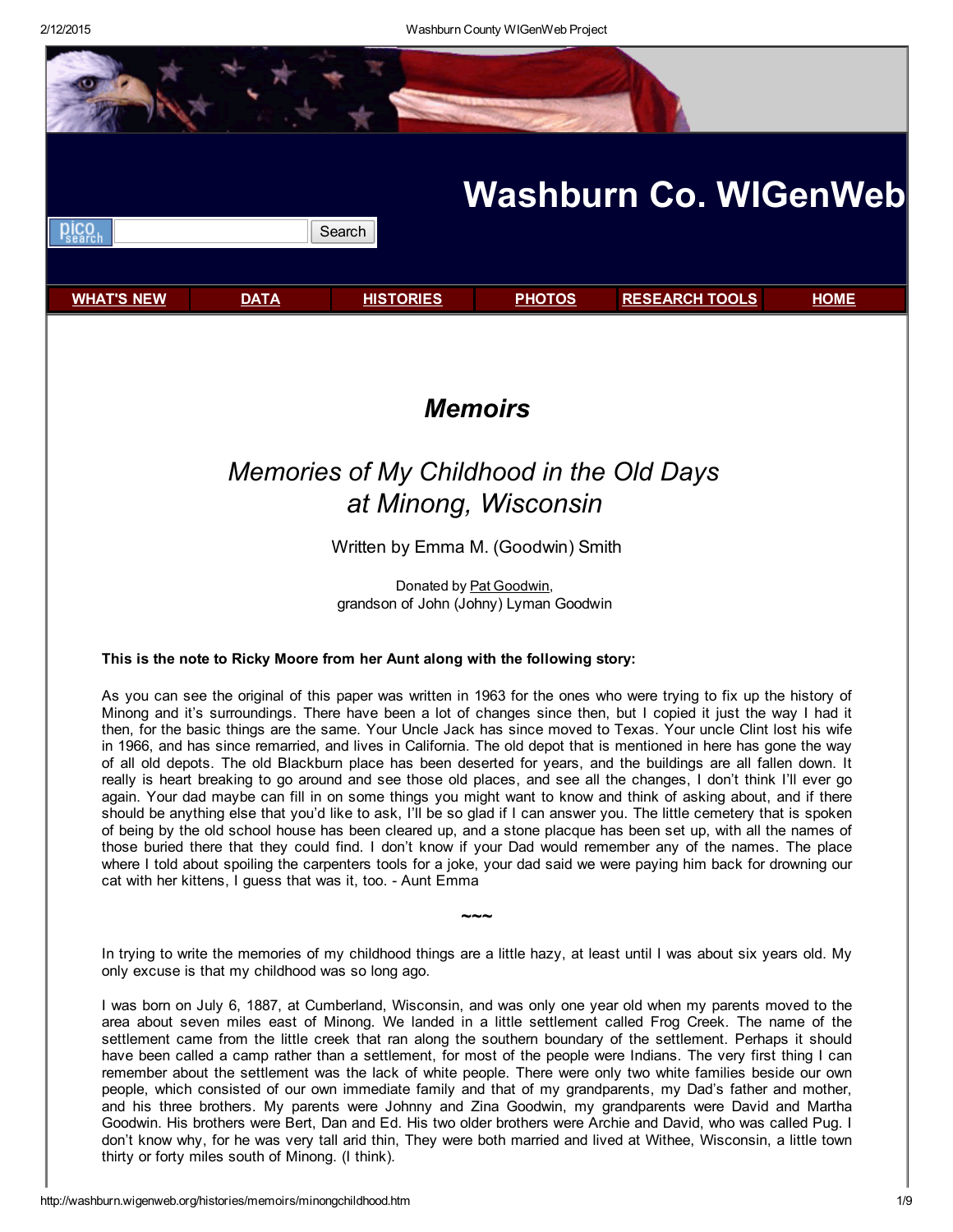

remember about the settlement was the lack of white people. There were only two white families beside our own people, which consisted of our own immediate family and that of my grandparents, my Dad's father and mother, and his three brothers. My parents were Johnny and Zina Goodwin, my grandparents were David and Martha Goodwin. His brothers were Bert, Dan and Ed. His two older brothers were Archie and David, who was called Pug. I don't know why, for he was very tall arid thin, They were both married and lived at Withee, Wisconsin, a little town thirty or forty miles south of Minong. (I think).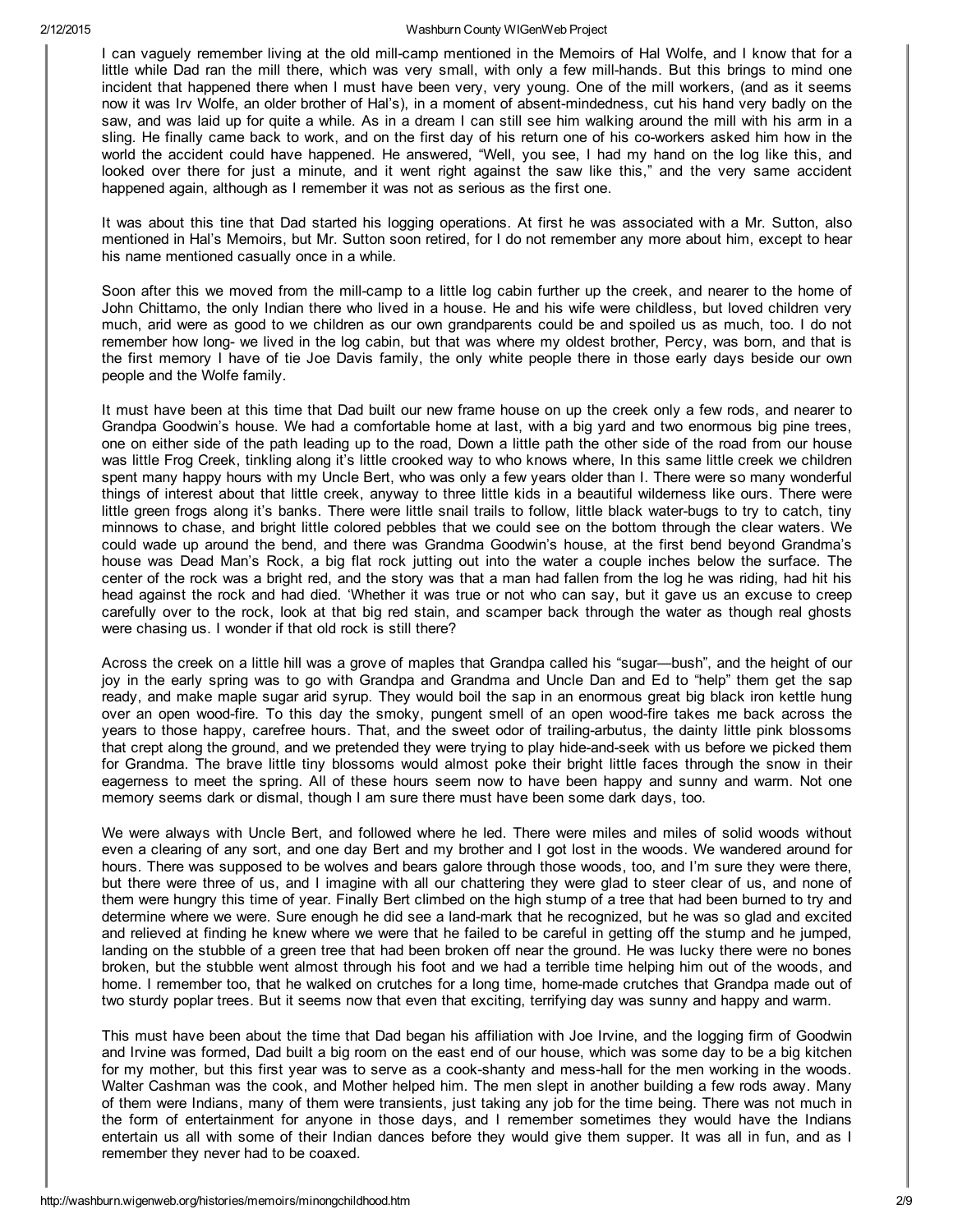I can vaguely remember living at the old mill-camp mentioned in the Memoirs of Hal Wolfe, and I know that for a little while Dad ran the mill there, which was very small, with only a few mill-hands. But this brings to mind one incident that happened there when I must have been very, very young. One of the mill workers, (and as it seems now it was Irv Wolfe, an older brother of Hal's), in a moment of absent-mindedness, cut his hand very badly on the saw, and was laid up for quite a while. As in a dream I can still see him walking around the mill with his arm in a sling. He finally came back to work, and on the first day of his return one of his co-workers asked him how in the world the accident could have happened. He answered, "Well, you see, I had my hand on the log like this, and looked over there for just a minute, and it went right against the saw like this," and the very same accident happened again, although as I remember it was not as serious as the first one.

It was about this tine that Dad started his logging operations. At first he was associated with a Mr. Sutton, also mentioned in Hal's Memoirs, but Mr. Sutton soon retired, for I do not remember any more about him, except to hear his name mentioned casually once in a while.

Soon after this we moved from the mill-camp to a little log cabin further up the creek, and nearer to the home of John Chittamo, the only Indian there who lived in a house. He and his wife were childless, but loved children very much, arid were as good to we children as our own grandparents could be and spoiled us as much, too. I do not remember how long- we lived in the log cabin, but that was where my oldest brother, Percy, was born, and that is the first memory I have of tie Joe Davis family, the only white people there in those early days beside our own people and the Wolfe family.

It must have been at this time that Dad built our new frame house on up the creek only a few rods, and nearer to Grandpa Goodwin's house. We had a comfortable home at last, with a big yard and two enormous big pine trees, one on either side of the path leading up to the road, Down a little path the other side of the road from our house was little Frog Creek, tinkling along it's little crooked way to who knows where, In this same little creek we children spent many happy hours with my Uncle Bert, who was only a few years older than I. There were so many wonderful things of interest about that little creek, anyway to three little kids in a beautiful wilderness like ours. There were little green frogs along it's banks. There were little snail trails to follow, little black water-bugs to try to catch, tiny minnows to chase, and bright little colored pebbles that we could see on the bottom through the clear waters. We could wade up around the bend, and there was Grandma Goodwin's house, at the first bend beyond Grandma's house was Dead Man's Rock, a big flat rock jutting out into the water a couple inches below the surface. The center of the rock was a bright red, and the story was that a man had fallen from the log he was riding, had hit his head against the rock and had died. 'Whether it was true or not who can say, but it gave us an excuse to creep carefully over to the rock, look at that big red stain, and scamper back through the water as though real ghosts were chasing us. I wonder if that old rock is still there?

Across the creek on a little hill was a grove of maples that Grandpa called his "sugar—bush", and the height of our joy in the early spring was to go with Grandpa and Grandma and Uncle Dan and Ed to "help" them get the sap ready, and make maple sugar arid syrup. They would boil the sap in an enormous great big black iron kettle hung over an open wood-fire. To this day the smoky, pungent smell of an open wood-fire takes me back across the years to those happy, carefree hours. That, and the sweet odor of trailing-arbutus, the dainty little pink blossoms that crept along the ground, and we pretended they were trying to play hide-and-seek with us before we picked them for Grandma. The brave little tiny blossoms would almost poke their bright little faces through the snow in their eagerness to meet the spring. All of these hours seem now to have been happy and sunny and warm. Not one memory seems dark or dismal, though I am sure there must have been some dark days, too.

We were always with Uncle Bert, and followed where he led. There were miles and miles of solid woods without even a clearing of any sort, and one day Bert and my brother and I got lost in the woods. We wandered around for hours. There was supposed to be wolves and bears galore through those woods, too, and I'm sure they were there, but there were three of us, and I imagine with all our chattering they were glad to steer clear of us, and none of them were hungry this time of year. Finally Bert climbed on the high stump of a tree that had been burned to try and determine where we were. Sure enough he did see a land-mark that he recognized, but he was so glad and excited and relieved at finding he knew where we were that he failed to be careful in getting off the stump and he jumped, landing on the stubble of a green tree that had been broken off near the ground. He was lucky there were no bones broken, but the stubble went almost through his foot and we had a terrible time helping him out of the woods, and home. I remember too, that he walked on crutches for a long time, home-made crutches that Grandpa made out of two sturdy poplar trees. But it seems now that even that exciting, terrifying day was sunny and happy and warm.

This must have been about the time that Dad began his affiliation with Joe Irvine, and the logging firm of Goodwin and Irvine was formed, Dad built a big room on the east end of our house, which was some day to be a big kitchen for my mother, but this first year was to serve as a cook-shanty and mess-hall for the men working in the woods. Walter Cashman was the cook, and Mother helped him. The men slept in another building a few rods away. Many of them were Indians, many of them were transients, just taking any job for the time being. There was not much in the form of entertainment for anyone in those days, and I remember sometimes they would have the Indians entertain us all with some of their Indian dances before they would give them supper. It was all in fun, and as I remember they never had to be coaxed.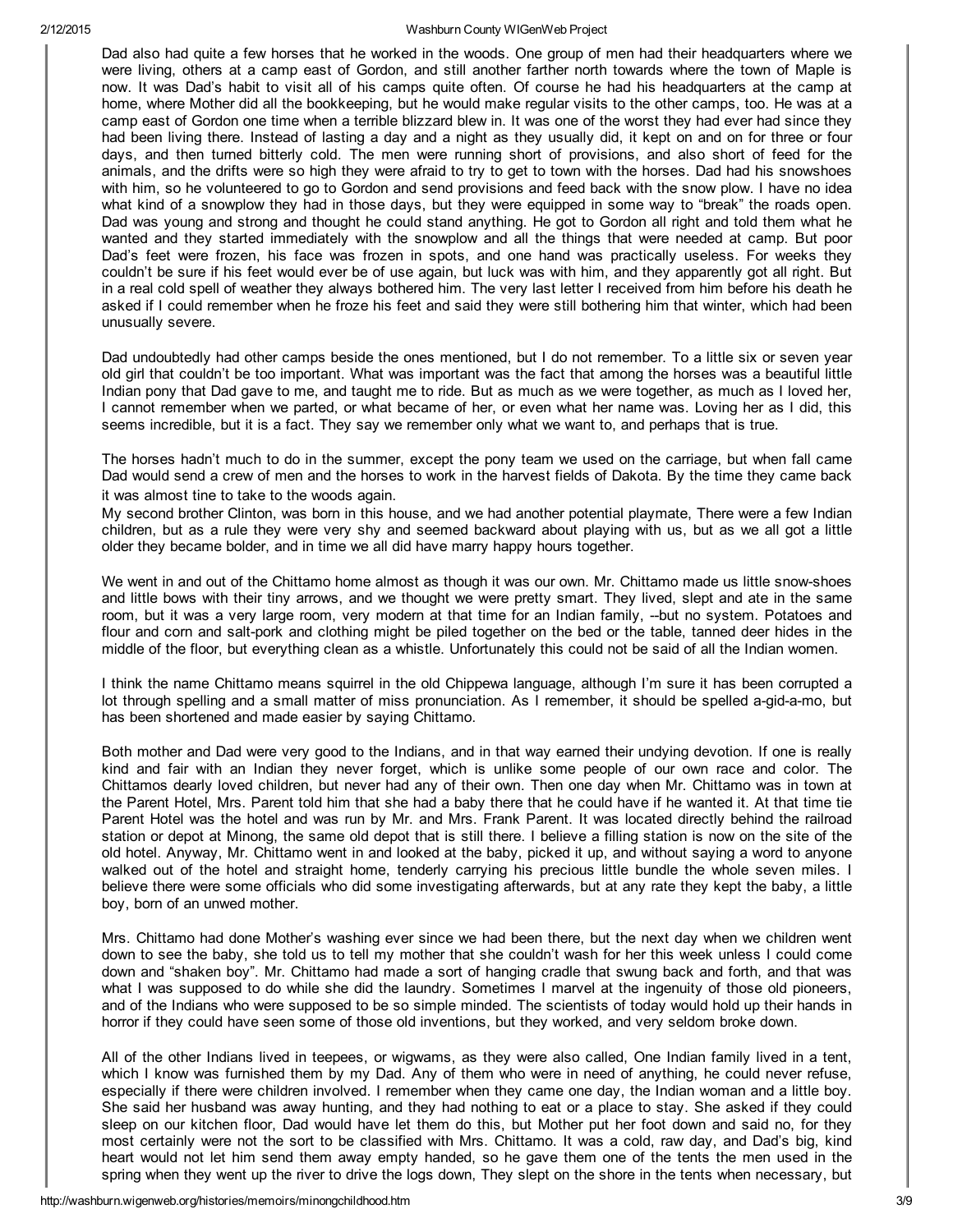Dad also had quite a few horses that he worked in the woods. One group of men had their headquarters where we were living, others at a camp east of Gordon, and still another farther north towards where the town of Maple is now. It was Dad's habit to visit all of his camps quite often. Of course he had his headquarters at the camp at home, where Mother did all the bookkeeping, but he would make regular visits to the other camps, too. He was at a camp east of Gordon one time when a terrible blizzard blew in. It was one of the worst they had ever had since they had been living there. Instead of lasting a day and a night as they usually did, it kept on and on for three or four days, and then turned bitterly cold. The men were running short of provisions, and also short of feed for the animals, and the drifts were so high they were afraid to try to get to town with the horses. Dad had his snowshoes with him, so he volunteered to go to Gordon and send provisions and feed back with the snow plow. I have no idea what kind of a snowplow they had in those days, but they were equipped in some way to "break" the roads open. Dad was young and strong and thought he could stand anything. He got to Gordon all right and told them what he wanted and they started immediately with the snowplow and all the things that were needed at camp. But poor Dad's feet were frozen, his face was frozen in spots, and one hand was practically useless. For weeks they couldn't be sure if his feet would ever be of use again, but luck was with him, and they apparently got all right. But in a real cold spell of weather they always bothered him. The very last letter I received from him before his death he asked if I could remember when he froze his feet and said they were still bothering him that winter, which had been unusually severe.

Dad undoubtedly had other camps beside the ones mentioned, but I do not remember. To a little six or seven year old girl that couldn't be too important. What was important was the fact that among the horses was a beautiful little Indian pony that Dad gave to me, and taught me to ride. But as much as we were together, as much as I loved her, I cannot remember when we parted, or what became of her, or even what her name was. Loving her as I did, this seems incredible, but it is a fact. They say we remember only what we want to, and perhaps that is true.

The horses hadn't much to do in the summer, except the pony team we used on the carriage, but when fall came Dad would send a crew of men and the horses to work in the harvest fields of Dakota. By the time they came back it was almost tine to take to the woods again.

My second brother Clinton, was born in this house, and we had another potential playmate, There were a few Indian children, but as a rule they were very shy and seemed backward about playing with us, but as we all got a little older they became bolder, and in time we all did have marry happy hours together.

We went in and out of the Chittamo home almost as though it was our own. Mr. Chittamo made us little snow-shoes and little bows with their tiny arrows, and we thought we were pretty smart. They lived, slept and ate in the same room, but it was a very large room, very modern at that time for an Indian family, --but no system. Potatoes and flour and corn and salt-pork and clothing might be piled together on the bed or the table, tanned deer hides in the middle of the floor, but everything clean as a whistle. Unfortunately this could not be said of all the Indian women.

I think the name Chittamo means squirrel in the old Chippewa language, although I'm sure it has been corrupted a lot through spelling and a small matter of miss pronunciation. As I remember, it should be spelled a-gid-a-mo, but has been shortened and made easier by saying Chittamo.

Both mother and Dad were very good to the Indians, and in that way earned their undying devotion. If one is really kind and fair with an Indian they never forget, which is unlike some people of our own race and color. The Chittamos dearly loved children, but never had any of their own. Then one day when Mr. Chittamo was in town at the Parent Hotel, Mrs. Parent told him that she had a baby there that he could have if he wanted it. At that time tie Parent Hotel was the hotel and was run by Mr. and Mrs. Frank Parent. It was located directly behind the railroad station or depot at Minong, the same old depot that is still there. I believe a filling station is now on the site of the old hotel. Anyway, Mr. Chittamo went in and looked at the baby, picked it up, and without saying a word to anyone walked out of the hotel and straight home, tenderly carrying his precious little bundle the whole seven miles. I believe there were some officials who did some investigating afterwards, but at any rate they kept the baby, a little boy, born of an unwed mother.

Mrs. Chittamo had done Mother's washing ever since we had been there, but the next day when we children went down to see the baby, she told us to tell my mother that she couldn't wash for her this week unless I could come down and "shaken boy". Mr. Chittamo had made a sort of hanging cradle that swung back and forth, and that was what I was supposed to do while she did the laundry. Sometimes I marvel at the ingenuity of those old pioneers, and of the Indians who were supposed to be so simple minded. The scientists of today would hold up their hands in horror if they could have seen some of those old inventions, but they worked, and very seldom broke down.

All of the other Indians lived in teepees, or wigwams, as they were also called, One Indian family lived in a tent, which I know was furnished them by my Dad. Any of them who were in need of anything, he could never refuse, especially if there were children involved. I remember when they came one day, the Indian woman and a little boy. She said her husband was away hunting, and they had nothing to eat or a place to stay. She asked if they could sleep on our kitchen floor, Dad would have let them do this, but Mother put her foot down and said no, for they most certainly were not the sort to be classified with Mrs. Chittamo. It was a cold, raw day, and Dad's big, kind heart would not let him send them away empty handed, so he gave them one of the tents the men used in the spring when they went up the river to drive the logs down, They slept on the shore in the tents when necessary, but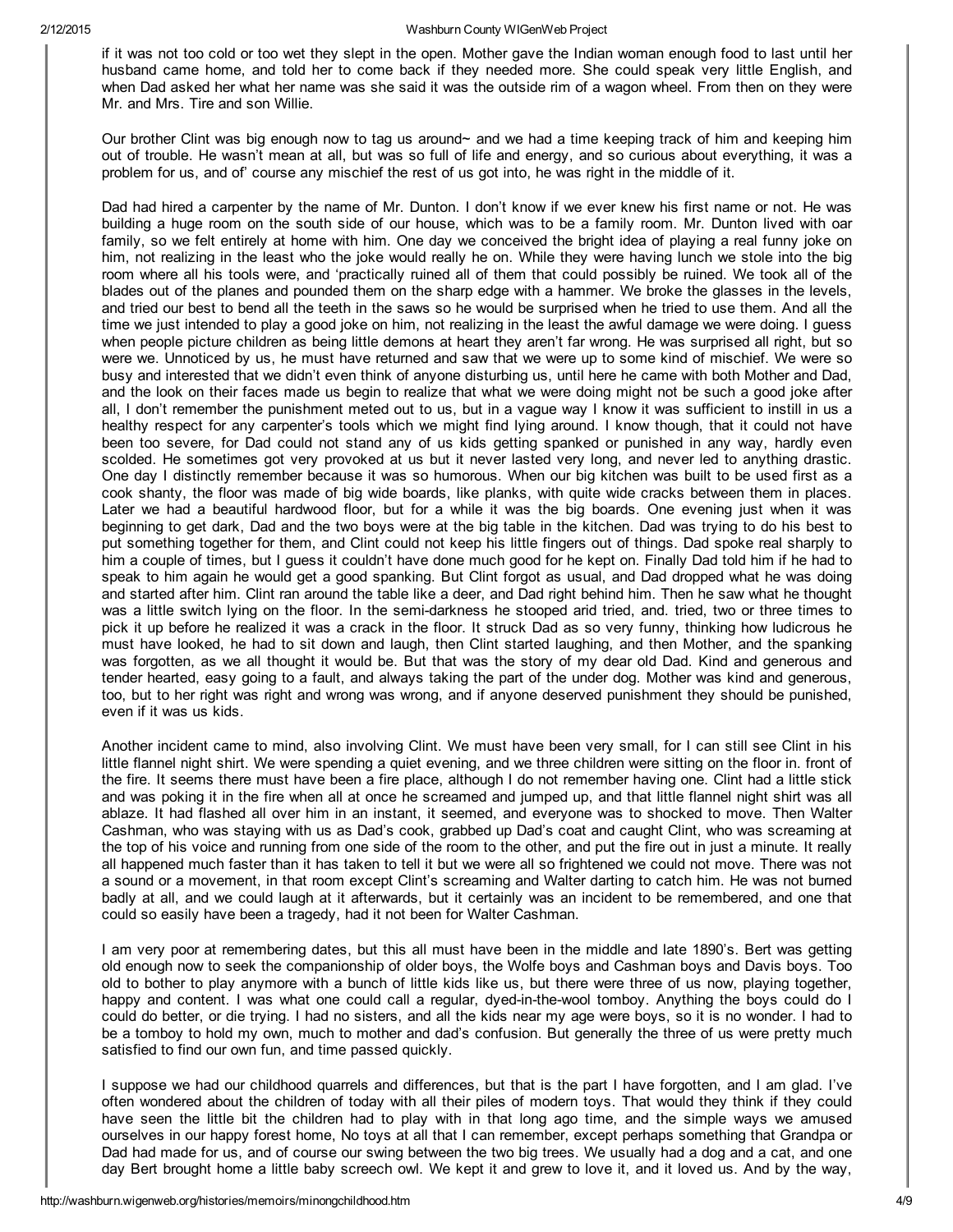if it was not too cold or too wet they slept in the open. Mother gave the Indian woman enough food to last until her husband came home, and told her to come back if they needed more. She could speak very little English, and when Dad asked her what her name was she said it was the outside rim of a wagon wheel. From then on they were Mr. and Mrs. Tire and son Willie.

Our brother Clint was big enough now to tag us around~ and we had a time keeping track of him and keeping him out of trouble. He wasn't mean at all, but was so full of life and energy, and so curious about everything, it was a problem for us, and of' course any mischief the rest of us got into, he was right in the middle of it.

Dad had hired a carpenter by the name of Mr. Dunton. I don't know if we ever knew his first name or not. He was building a huge room on the south side of our house, which was to be a family room. Mr. Dunton lived with oar family, so we felt entirely at home with him. One day we conceived the bright idea of playing a real funny joke on him, not realizing in the least who the joke would really he on. While they were having lunch we stole into the big room where all his tools were, and 'practically ruined all of them that could possibly be ruined. We took all of the blades out of the planes and pounded them on the sharp edge with a hammer. We broke the glasses in the levels, and tried our best to bend all the teeth in the saws so he would be surprised when he tried to use them. And all the time we just intended to play a good joke on him, not realizing in the least the awful damage we were doing. I guess when people picture children as being little demons at heart they aren't far wrong. He was surprised all right, but so were we. Unnoticed by us, he must have returned and saw that we were up to some kind of mischief. We were so busy and interested that we didn't even think of anyone disturbing us, until here he came with both Mother and Dad, and the look on their faces made us begin to realize that what we were doing might not be such a good joke after all, I don't remember the punishment meted out to us, but in a vague way I know it was sufficient to instill in us a healthy respect for any carpenter's tools which we might find lying around. I know though, that it could not have been too severe, for Dad could not stand any of us kids getting spanked or punished in any way, hardly even scolded. He sometimes got very provoked at us but it never lasted very long, and never led to anything drastic. One day I distinctly remember because it was so humorous. When our big kitchen was built to be used first as a cook shanty, the floor was made of big wide boards, like planks, with quite wide cracks between them in places. Later we had a beautiful hardwood floor, but for a while it was the big boards. One evening just when it was beginning to get dark, Dad and the two boys were at the big table in the kitchen. Dad was trying to do his best to put something together for them, and Clint could not keep his little fingers out of things. Dad spoke real sharply to him a couple of times, but I guess it couldn't have done much good for he kept on. Finally Dad told him if he had to speak to him again he would get a good spanking. But Clint forgot as usual, and Dad dropped what he was doing and started after him. Clint ran around the table like a deer, and Dad right behind him. Then he saw what he thought was a little switch lying on the floor. In the semidarkness he stooped arid tried, and. tried, two or three times to pick it up before he realized it was a crack in the floor. It struck Dad as so very funny, thinking how ludicrous he must have looked, he had to sit down and laugh, then Clint started laughing, and then Mother, and the spanking was forgotten, as we all thought it would be. But that was the story of my dear old Dad. Kind and generous and tender hearted, easy going to a fault, and always taking the part of the under dog. Mother was kind and generous, too, but to her right was right and wrong was wrong, and if anyone deserved punishment they should be punished, even if it was us kids.

Another incident came to mind, also involving Clint. We must have been very small, for I can still see Clint in his little flannel night shirt. We were spending a quiet evening, and we three children were sitting on the floor in. front of the fire. It seems there must have been a fire place, although I do not remember having one. Clint had a little stick and was poking it in the fire when all at once he screamed and jumped up, and that little flannel night shirt was all ablaze. It had flashed all over him in an instant, it seemed, and everyone was to shocked to move. Then Walter Cashman, who was staying with us as Dad's cook, grabbed up Dad's coat and caught Clint, who was screaming at the top of his voice and running from one side of the room to the other, and put the fire out in just a minute. It really all happened much faster than it has taken to tell it but we were all so frightened we could not move. There was not a sound or a movement, in that room except Clint's screaming and Walter darting to catch him. He was not burned badly at all, and we could laugh at it afterwards, but it certainly was an incident to be remembered, and one that could so easily have been a tragedy, had it not been for Walter Cashman.

I am very poor at remembering dates, but this all must have been in the middle and late 1890's. Bert was getting old enough now to seek the companionship of older boys, the Wolfe boys and Cashman boys and Davis boys. Too old to bother to play anymore with a bunch of little kids like us, but there were three of us now, playing together, happy and content. I was what one could call a regular, dyed-in-the-wool tomboy. Anything the boys could do I could do better, or die trying. I had no sisters, and all the kids near my age were boys, so it is no wonder. I had to be a tomboy to hold my own, much to mother and dad's confusion. But generally the three of us were pretty much satisfied to find our own fun, and time passed quickly.

I suppose we had our childhood quarrels and differences, but that is the part I have forgotten, and I am glad. I've often wondered about the children of today with all their piles of modern toys. That would they think if they could have seen the little bit the children had to play with in that long ago time, and the simple ways we amused ourselves in our happy forest home, No toys at all that I can remember, except perhaps something that Grandpa or Dad had made for us, and of course our swing between the two big trees. We usually had a dog and a cat, and one day Bert brought home a little baby screech owl. We kept it and grew to love it, and it loved us. And by the way,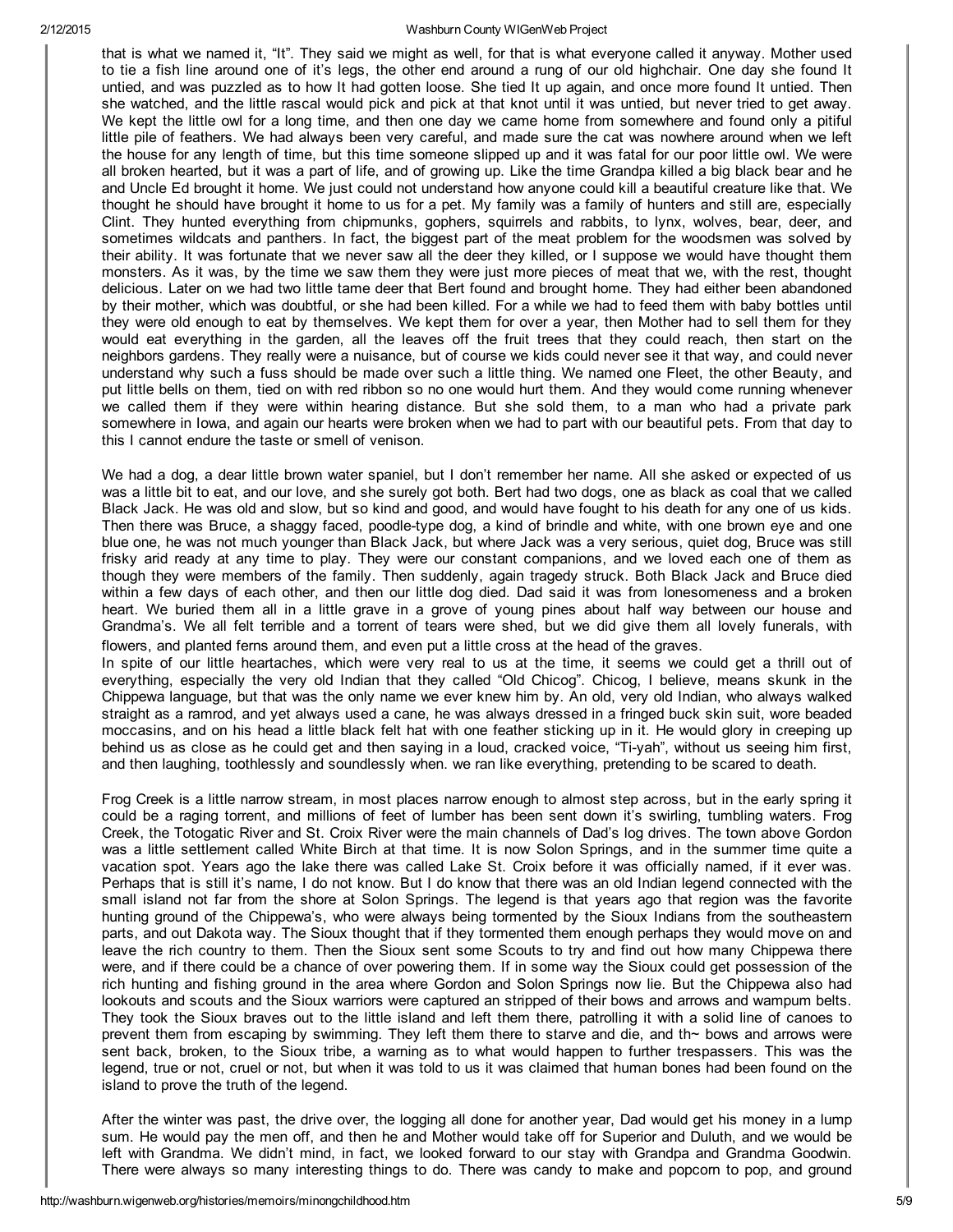that is what we named it, "It". They said we might as well, for that is what everyone called it anyway. Mother used to tie a fish line around one of it's legs, the other end around a rung of our old highchair. One day she found It untied, and was puzzled as to how It had gotten loose. She tied It up again, and once more found It untied. Then she watched, and the little rascal would pick and pick at that knot until it was untied, but never tried to get away. We kept the little owl for a long time, and then one day we came home from somewhere and found only a pitiful little pile of feathers. We had always been very careful, and made sure the cat was nowhere around when we left the house for any length of time, but this time someone slipped up and it was fatal for our poor little owl. We were all broken hearted, but it was a part of life, and of growing up. Like the time Grandpa killed a big black bear and he and Uncle Ed brought it home. We just could not understand how anyone could kill a beautiful creature like that. We thought he should have brought it home to us for a pet. My family was a family of hunters and still are, especially Clint. They hunted everything from chipmunks, gophers, squirrels and rabbits, to lynx, wolves, bear, deer, and sometimes wildcats and panthers. In fact, the biggest part of the meat problem for the woodsmen was solved by their ability. It was fortunate that we never saw all the deer they killed, or I suppose we would have thought them monsters. As it was, by the time we saw them they were just more pieces of meat that we, with the rest, thought delicious. Later on we had two little tame deer that Bert found and brought home. They had either been abandoned by their mother, which was doubtful, or she had been killed. For a while we had to feed them with baby bottles until they were old enough to eat by themselves. We kept them for over a year, then Mother had to sell them for they would eat everything in the garden, all the leaves off the fruit trees that they could reach, then start on the neighbors gardens. They really were a nuisance, but of course we kids could never see it that way, and could never understand why such a fuss should be made over such a little thing. We named one Fleet, the other Beauty, and put little bells on them, tied on with red ribbon so no one would hurt them. And they would come running whenever we called them if they were within hearing distance. But she sold them, to a man who had a private park somewhere in Iowa, and again our hearts were broken when we had to part with our beautiful pets. From that day to this I cannot endure the taste or smell of venison.

We had a dog, a dear little brown water spaniel, but I don't remember her name. All she asked or expected of us was a little bit to eat, and our love, and she surely got both. Bert had two dogs, one as black as coal that we called Black Jack. He was old and slow, but so kind and good, and would have fought to his death for any one of us kids. Then there was Bruce, a shaggy faced, poodle-type dog, a kind of brindle and white, with one brown eye and one blue one, he was not much younger than Black Jack, but where Jack was a very serious, quiet dog, Bruce was still frisky arid ready at any time to play. They were our constant companions, and we loved each one of them as though they were members of the family. Then suddenly, again tragedy struck. Both Black Jack and Bruce died within a few days of each other, and then our little dog died. Dad said it was from lonesomeness and a broken heart. We buried them all in a little grave in a grove of young pines about half way between our house and Grandma's. We all felt terrible and a torrent of tears were shed, but we did give them all lovely funerals, with flowers, and planted ferns around them, and even put a little cross at the head of the graves.

In spite of our little heartaches, which were very real to us at the time, it seems we could get a thrill out of everything, especially the very old Indian that they called "Old Chicog". Chicog, I believe, means skunk in the Chippewa language, but that was the only name we ever knew him by. An old, very old Indian, who always walked straight as a ramrod, and yet always used a cane, he was always dressed in a fringed buck skin suit, wore beaded moccasins, and on his head a little black felt hat with one feather sticking up in it. He would glory in creeping up behind us as close as he could get and then saying in a loud, cracked voice, "Tiyah", without us seeing him first, and then laughing, toothlessly and soundlessly when. we ran like everything, pretending to be scared to death.

Frog Creek is a little narrow stream, in most places narrow enough to almost step across, but in the early spring it could be a raging torrent, and millions of feet of lumber has been sent down it's swirling, tumbling waters. Frog Creek, the Totogatic River and St. Croix River were the main channels of Dad's log drives. The town above Gordon was a little settlement called White Birch at that time. It is now Solon Springs, and in the summer time quite a vacation spot. Years ago the lake there was called Lake St. Croix before it was officially named, if it ever was. Perhaps that is still it's name, I do not know. But I do know that there was an old Indian legend connected with the small island not far from the shore at Solon Springs. The legend is that years ago that region was the favorite hunting ground of the Chippewa's, who were always being tormented by the Sioux Indians from the southeastern parts, and out Dakota way. The Sioux thought that if they tormented them enough perhaps they would move on and leave the rich country to them. Then the Sioux sent some Scouts to try and find out how many Chippewa there were, and if there could be a chance of over powering them. If in some way the Sioux could get possession of the rich hunting and fishing ground in the area where Gordon and Solon Springs now lie. But the Chippewa also had lookouts and scouts and the Sioux warriors were captured an stripped of their bows and arrows and wampum belts. They took the Sioux braves out to the little island and left them there, patrolling it with a solid line of canoes to prevent them from escaping by swimming. They left them there to starve and die, and th~ bows and arrows were sent back, broken, to the Sioux tribe, a warning as to what would happen to further trespassers. This was the legend, true or not, cruel or not, but when it was told to us it was claimed that human bones had been found on the island to prove the truth of the legend.

After the winter was past, the drive over, the logging all done for another year, Dad would get his money in a lump sum. He would pay the men off, and then he and Mother would take off for Superior and Duluth, and we would be left with Grandma. We didn't mind, in fact, we looked forward to our stay with Grandpa and Grandma Goodwin. There were always so many interesting things to do. There was candy to make and popcorn to pop, and ground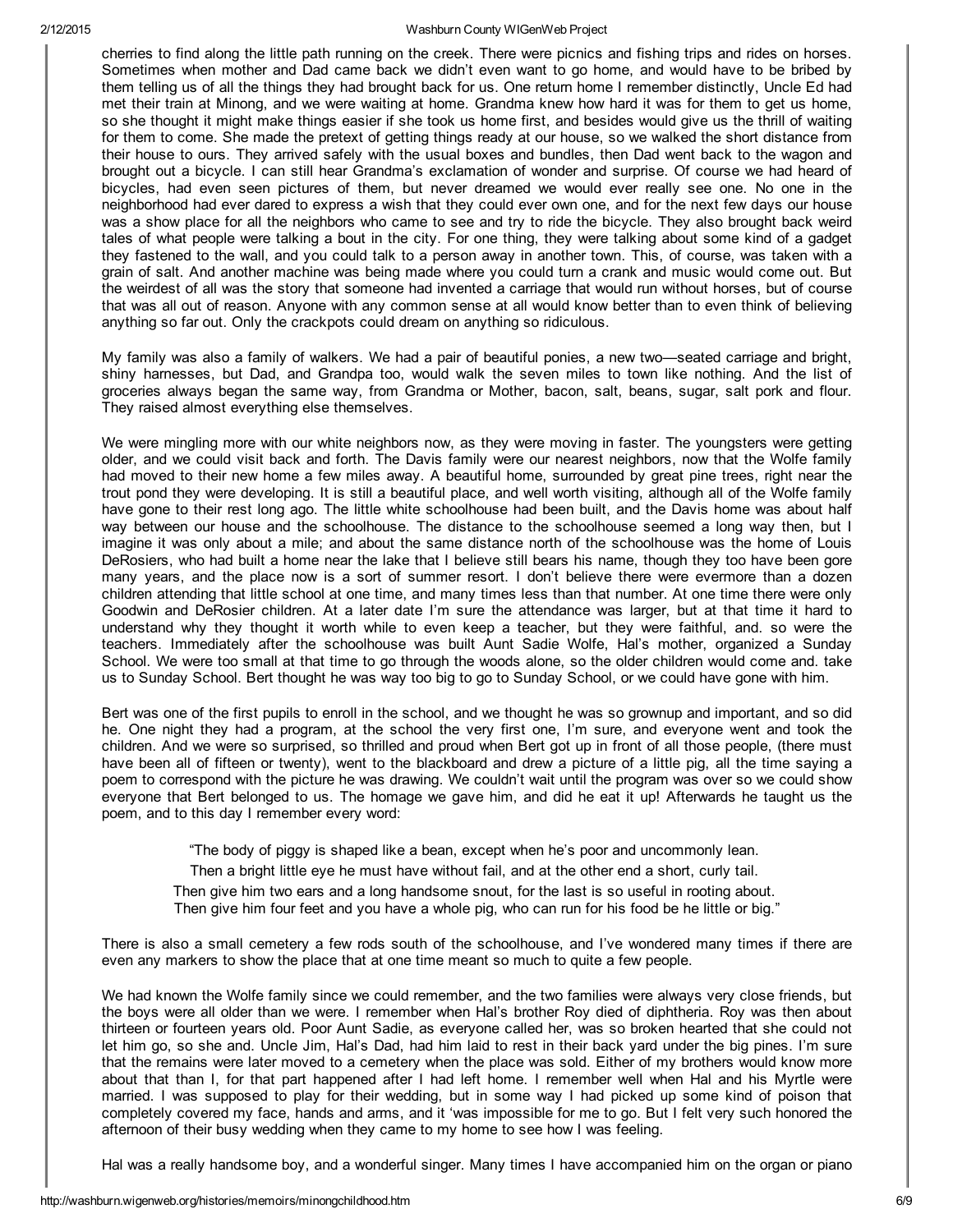cherries to find along the little path running on the creek. There were picnics and fishing trips and rides on horses. Sometimes when mother and Dad came back we didn't even want to go home, and would have to be bribed by them telling us of all the things they had brought back for us. One return home I remember distinctly, Uncle Ed had met their train at Minong, and we were waiting at home. Grandma knew how hard it was for them to get us home, so she thought it might make things easier if she took us home first, and besides would give us the thrill of waiting for them to come. She made the pretext of getting things ready at our house, so we walked the short distance from their house to ours. They arrived safely with the usual boxes and bundles, then Dad went back to the wagon and brought out a bicycle. I can still hear Grandma's exclamation of wonder and surprise. Of course we had heard of bicycles, had even seen pictures of them, but never dreamed we would ever really see one. No one in the neighborhood had ever dared to express a wish that they could ever own one, and for the next few days our house was a show place for all the neighbors who came to see and try to ride the bicycle. They also brought back weird tales of what people were talking a bout in the city. For one thing, they were talking about some kind of a gadget they fastened to the wall, and you could talk to a person away in another town. This, of course, was taken with a grain of salt. And another machine was being made where you could turn a crank and music would come out. But the weirdest of all was the story that someone had invented a carriage that would run without horses, but of course that was all out of reason. Anyone with any common sense at all would know better than to even think of believing anything so far out. Only the crackpots could dream on anything so ridiculous.

My family was also a family of walkers. We had a pair of beautiful ponies, a new two—seated carriage and bright, shiny harnesses, but Dad, and Grandpa too, would walk the seven miles to town like nothing. And the list of groceries always began the same way, from Grandma or Mother, bacon, salt, beans, sugar, salt pork and flour. They raised almost everything else themselves.

We were mingling more with our white neighbors now, as they were moving in faster. The youngsters were getting older, and we could visit back and forth. The Davis family were our nearest neighbors, now that the Wolfe family had moved to their new home a few miles away. A beautiful home, surrounded by great pine trees, right near the trout pond they were developing. It is still a beautiful place, and well worth visiting, although all of the Wolfe family have gone to their rest long ago. The little white schoolhouse had been built, and the Davis home was about half way between our house and the schoolhouse. The distance to the schoolhouse seemed a long way then, but I imagine it was only about a mile; and about the same distance north of the schoolhouse was the home of Louis DeRosiers, who had built a home near the lake that I believe still bears his name, though they too have been gore many years, and the place now is a sort of summer resort. I don't believe there were evermore than a dozen children attending that little school at one time, and many times less than that number. At one time there were only Goodwin and DeRosier children. At a later date I'm sure the attendance was larger, but at that time it hard to understand why they thought it worth while to even keep a teacher, but they were faithful, and. so were the teachers. Immediately after the schoolhouse was built Aunt Sadie Wolfe, Hal's mother, organized a Sunday School. We were too small at that time to go through the woods alone, so the older children would come and. take us to Sunday School. Bert thought he was way too big to go to Sunday School, or we could have gone with him.

Bert was one of the first pupils to enroll in the school, and we thought he was so grownup and important, and so did he. One night they had a program, at the school the very first one, I'm sure, and everyone went and took the children. And we were so surprised, so thrilled and proud when Bert got up in front of all those people, (there must have been all of fifteen or twenty), went to the blackboard and drew a picture of a little pig, all the time saying a poem to correspond with the picture he was drawing. We couldn't wait until the program was over so we could show everyone that Bert belonged to us. The homage we gave him, and did he eat it up! Afterwards he taught us the poem, and to this day I remember every word:

"The body of piggy is shaped like a bean, except when he's poor and uncommonly lean.

Then a bright little eye he must have without fail, and at the other end a short, curly tail.

Then give him two ears and a long handsome snout, for the last is so useful in rooting about. Then give him four feet and you have a whole pig, who can run for his food be he little or big."

There is also a small cemetery a few rods south of the schoolhouse, and I've wondered many times if there are even any markers to show the place that at one time meant so much to quite a few people.

We had known the Wolfe family since we could remember, and the two families were always very close friends, but the boys were all older than we were. I remember when Hal's brother Roy died of diphtheria. Roy was then about thirteen or fourteen years old. Poor Aunt Sadie, as everyone called her, was so broken hearted that she could not let him go, so she and. Uncle Jim, Hal's Dad, had him laid to rest in their back yard under the big pines. I'm sure that the remains were later moved to a cemetery when the place was sold. Either of my brothers would know more about that than I, for that part happened after I had left home. I remember well when Hal and his Myrtle were married. I was supposed to play for their wedding, but in some way I had picked up some kind of poison that completely covered my face, hands and arms, and it 'was impossible for me to go. But I felt very such honored the afternoon of their busy wedding when they came to my home to see how I was feeling.

Hal was a really handsome boy, and a wonderful singer. Many times I have accompanied him on the organ or piano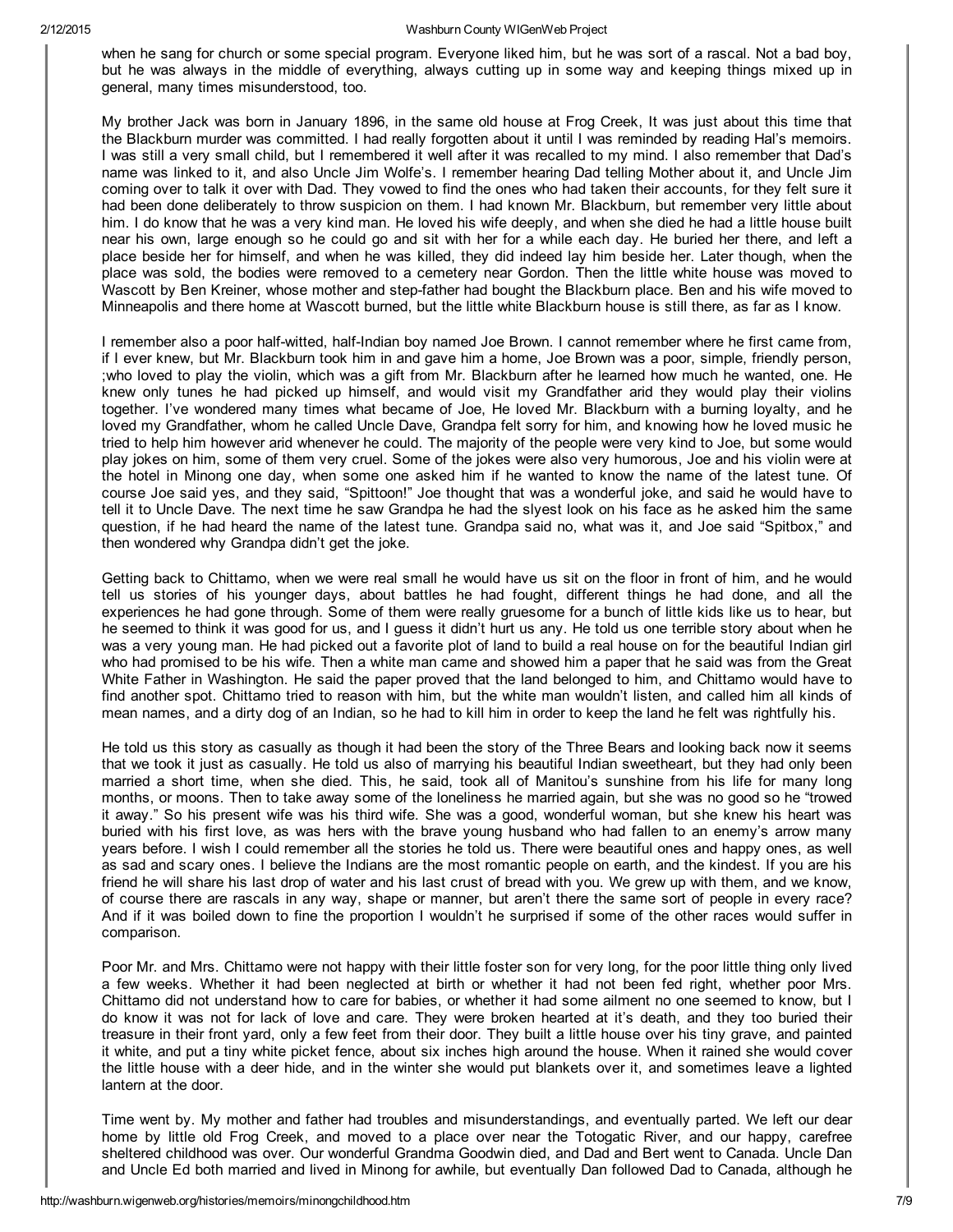when he sang for church or some special program. Everyone liked him, but he was sort of a rascal. Not a bad boy, but he was always in the middle of everything, always cutting up in some way and keeping things mixed up in general, many times misunderstood, too.

My brother Jack was born in January 1896, in the same old house at Frog Creek, It was just about this time that the Blackburn murder was committed. I had really forgotten about it until I was reminded by reading Hal's memoirs. I was still a very small child, but I remembered it well after it was recalled to my mind. I also remember that Dad's name was linked to it, and also Uncle Jim Wolfe's. I remember hearing Dad telling Mother about it, and Uncle Jim coming over to talk it over with Dad. They vowed to find the ones who had taken their accounts, for they felt sure it had been done deliberately to throw suspicion on them. I had known Mr. Blackburn, but remember very little about him. I do know that he was a very kind man. He loved his wife deeply, and when she died he had a little house built near his own, large enough so he could go and sit with her for a while each day. He buried her there, and left a place beside her for himself, and when he was killed, they did indeed lay him beside her. Later though, when the place was sold, the bodies were removed to a cemetery near Gordon. Then the little white house was moved to Wascott by Ben Kreiner, whose mother and step-father had bought the Blackburn place. Ben and his wife moved to Minneapolis and there home at Wascott burned, but the little white Blackburn house is still there, as far as I know.

I remember also a poor half-witted, half-Indian boy named Joe Brown. I cannot remember where he first came from, if I ever knew, but Mr. Blackburn took him in and gave him a home, Joe Brown was a poor, simple, friendly person, ;who loved to play the violin, which was a gift from Mr. Blackburn after he learned how much he wanted, one. He knew only tunes he had picked up himself, and would visit my Grandfather arid they would play their violins together. I've wondered many times what became of Joe, He loved Mr. Blackburn with a burning loyalty, and he loved my Grandfather, whom he called Uncle Dave, Grandpa felt sorry for him, and knowing how he loved music he tried to help him however arid whenever he could. The majority of the people were very kind to Joe, but some would play jokes on him, some of them very cruel. Some of the jokes were also very humorous, Joe and his violin were at the hotel in Minong one day, when some one asked him if he wanted to know the name of the latest tune. Of course Joe said yes, and they said, "Spittoon!" Joe thought that was a wonderful joke, and said he would have to tell it to Uncle Dave. The next time he saw Grandpa he had the slyest look on his face as he asked him the same question, if he had heard the name of the latest tune. Grandpa said no, what was it, and Joe said "Spitbox," and then wondered why Grandpa didn't get the joke.

Getting back to Chittamo, when we were real small he would have us sit on the floor in front of him, and he would tell us stories of his younger days, about battles he had fought, different things he had done, and all the experiences he had gone through. Some of them were really gruesome for a bunch of little kids like us to hear, but he seemed to think it was good for us, and I guess it didn't hurt us any. He told us one terrible story about when he was a very young man. He had picked out a favorite plot of land to build a real house on for the beautiful Indian girl who had promised to be his wife. Then a white man came and showed him a paper that he said was from the Great White Father in Washington. He said the paper proved that the land belonged to him, and Chittamo would have to find another spot. Chittamo tried to reason with him, but the white man wouldn't listen, and called him all kinds of mean names, and a dirty dog of an Indian, so he had to kill him in order to keep the land he felt was rightfully his.

He told us this story as casually as though it had been the story of the Three Bears and looking back now it seems that we took it just as casually. He told us also of marrying his beautiful Indian sweetheart, but they had only been married a short time, when she died. This, he said, took all of Manitou's sunshine from his life for many long months, or moons. Then to take away some of the loneliness he married again, but she was no good so he "trowed it away." So his present wife was his third wife. She was a good, wonderful woman, but she knew his heart was buried with his first love, as was hers with the brave young husband who had fallen to an enemy's arrow many years before. I wish I could remember all the stories he told us. There were beautiful ones and happy ones, as well as sad and scary ones. I believe the Indians are the most romantic people on earth, and the kindest. If you are his friend he will share his last drop of water and his last crust of bread with you. We grew up with them, and we know, of course there are rascals in any way, shape or manner, but aren't there the same sort of people in every race? And if it was boiled down to fine the proportion I wouldn't he surprised if some of the other races would suffer in comparison.

Poor Mr. and Mrs. Chittamo were not happy with their little foster son for very long, for the poor little thing only lived a few weeks. Whether it had been neglected at birth or whether it had not been fed right, whether poor Mrs. Chittamo did not understand how to care for babies, or whether it had some ailment no one seemed to know, but I do know it was not for lack of love and care. They were broken hearted at it's death, and they too buried their treasure in their front yard, only a few feet from their door. They built a little house over his tiny grave, and painted it white, and put a tiny white picket fence, about six inches high around the house. When it rained she would cover the little house with a deer hide, and in the winter she would put blankets over it, and sometimes leave a lighted lantern at the door.

Time went by. My mother and father had troubles and misunderstandings, and eventually parted. We left our dear home by little old Frog Creek, and moved to a place over near the Totogatic River, and our happy, carefree sheltered childhood was over. Our wonderful Grandma Goodwin died, and Dad and Bert went to Canada. Uncle Dan and Uncle Ed both married and lived in Minong for awhile, but eventually Dan followed Dad to Canada, although he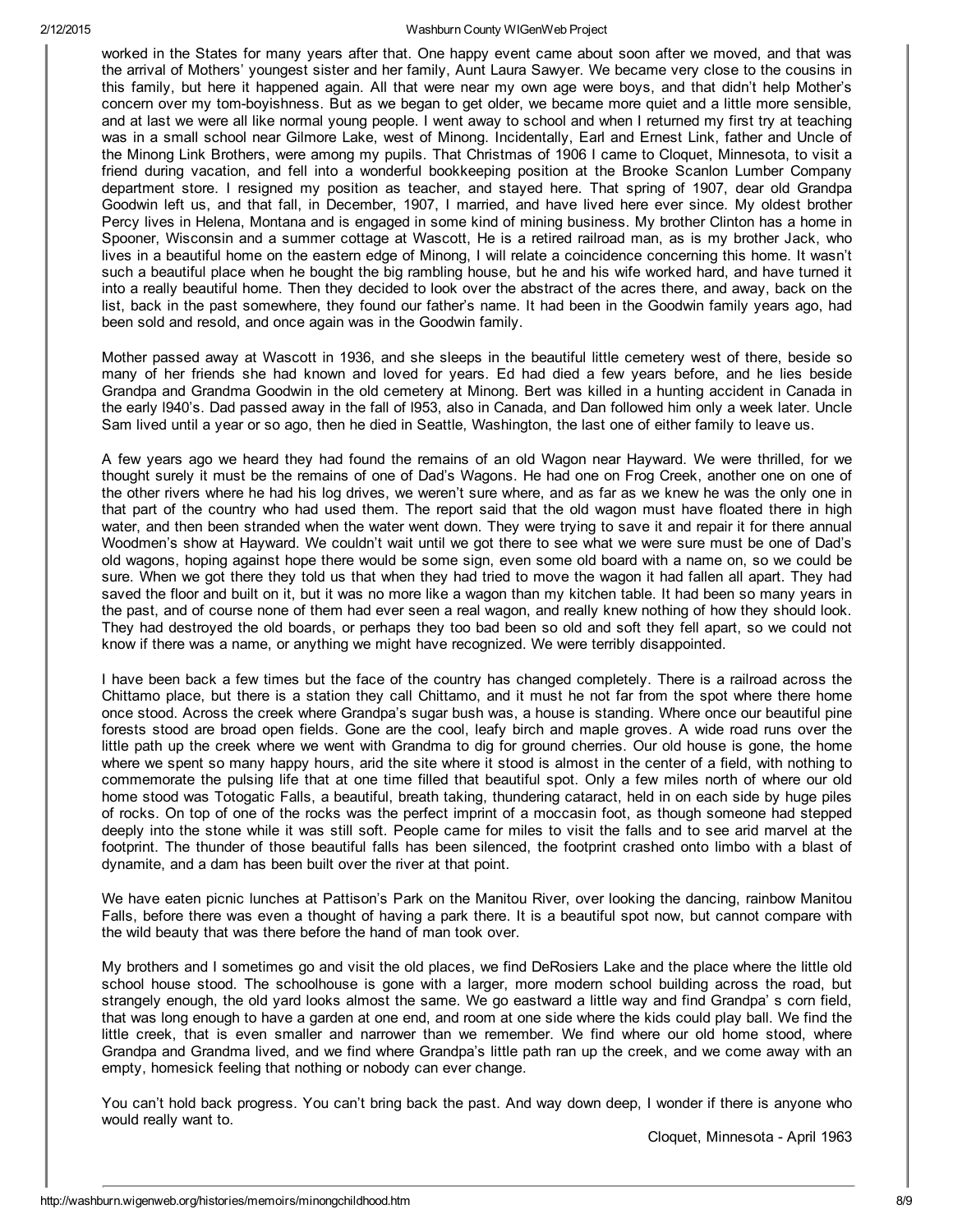worked in the States for many years after that. One happy event came about soon after we moved, and that was the arrival of Mothers' youngest sister and her family, Aunt Laura Sawyer. We became very close to the cousins in this family, but here it happened again. All that were near my own age were boys, and that didn't help Mother's concern over my tom-boyishness. But as we began to get older, we became more quiet and a little more sensible, and at last we were all like normal young people. I went away to school and when I returned my first try at teaching was in a small school near Gilmore Lake, west of Minong. Incidentally, Earl and Ernest Link, father and Uncle of the Minong Link Brothers, were among my pupils. That Christmas of 1906 I came to Cloquet, Minnesota, to visit a friend during vacation, and fell into a wonderful bookkeeping position at the Brooke Scanlon Lumber Company department store. I resigned my position as teacher, and stayed here. That spring of 1907, dear old Grandpa Goodwin left us, and that fall, in December, 1907, I married, and have lived here ever since. My oldest brother Percy lives in Helena, Montana and is engaged in some kind of mining business. My brother Clinton has a home in Spooner, Wisconsin and a summer cottage at Wascott, He is a retired railroad man, as is my brother Jack, who lives in a beautiful home on the eastern edge of Minong, I will relate a coincidence concerning this home. It wasn't such a beautiful place when he bought the big rambling house, but he and his wife worked hard, and have turned it into a really beautiful home. Then they decided to look over the abstract of the acres there, and away, back on the list, back in the past somewhere, they found our father's name. It had been in the Goodwin family years ago, had been sold and resold, and once again was in the Goodwin family.

Mother passed away at Wascott in 1936, and she sleeps in the beautiful little cemetery west of there, beside so many of her friends she had known and loved for years. Ed had died a few years before, and he lies beside Grandpa and Grandma Goodwin in the old cemetery at Minong. Bert was killed in a hunting accident in Canada in the early l940's. Dad passed away in the fall of l953, also in Canada, and Dan followed him only a week later. Uncle Sam lived until a year or so ago, then he died in Seattle, Washington, the last one of either family to leave us.

A few years ago we heard they had found the remains of an old Wagon near Hayward. We were thrilled, for we thought surely it must be the remains of one of Dad's Wagons. He had one on Frog Creek, another one on one of the other rivers where he had his log drives, we weren't sure where, and as far as we knew he was the only one in that part of the country who had used them. The report said that the old wagon must have floated there in high water, and then been stranded when the water went down. They were trying to save it and repair it for there annual Woodmen's show at Hayward. We couldn't wait until we got there to see what we were sure must be one of Dad's old wagons, hoping against hope there would be some sign, even some old board with a name on, so we could be sure. When we got there they told us that when they had tried to move the wagon it had fallen all apart. They had saved the floor and built on it, but it was no more like a wagon than my kitchen table. It had been so many years in the past, and of course none of them had ever seen a real wagon, and really knew nothing of how they should look. They had destroyed the old boards, or perhaps they too bad been so old and soft they fell apart, so we could not know if there was a name, or anything we might have recognized. We were terribly disappointed.

I have been back a few times but the face of the country has changed completely. There is a railroad across the Chittamo place, but there is a station they call Chittamo, and it must he not far from the spot where there home once stood. Across the creek where Grandpa's sugar bush was, a house is standing. Where once our beautiful pine forests stood are broad open fields. Gone are the cool, leafy birch and maple groves. A wide road runs over the little path up the creek where we went with Grandma to dig for ground cherries. Our old house is gone, the home where we spent so many happy hours, arid the site where it stood is almost in the center of a field, with nothing to commemorate the pulsing life that at one time filled that beautiful spot. Only a few miles north of where our old home stood was Totogatic Falls, a beautiful, breath taking, thundering cataract, held in on each side by huge piles of rocks. On top of one of the rocks was the perfect imprint of a moccasin foot, as though someone had stepped deeply into the stone while it was still soft. People came for miles to visit the falls and to see arid marvel at the footprint. The thunder of those beautiful falls has been silenced, the footprint crashed onto limbo with a blast of dynamite, and a dam has been built over the river at that point.

We have eaten picnic lunches at Pattison's Park on the Manitou River, over looking the dancing, rainbow Manitou Falls, before there was even a thought of having a park there. It is a beautiful spot now, but cannot compare with the wild beauty that was there before the hand of man took over.

My brothers and I sometimes go and visit the old places, we find DeRosiers Lake and the place where the little old school house stood. The schoolhouse is gone with a larger, more modern school building across the road, but strangely enough, the old yard looks almost the same. We go eastward a little way and find Grandpa' s corn field, that was long enough to have a garden at one end, and room at one side where the kids could play ball. We find the little creek, that is even smaller and narrower than we remember. We find where our old home stood, where Grandpa and Grandma lived, and we find where Grandpa's little path ran up the creek, and we come away with an empty, homesick feeling that nothing or nobody can ever change.

You can't hold back progress. You can't bring back the past. And way down deep, I wonder if there is anyone who would really want to.

Cloquet, Minnesota April 1963